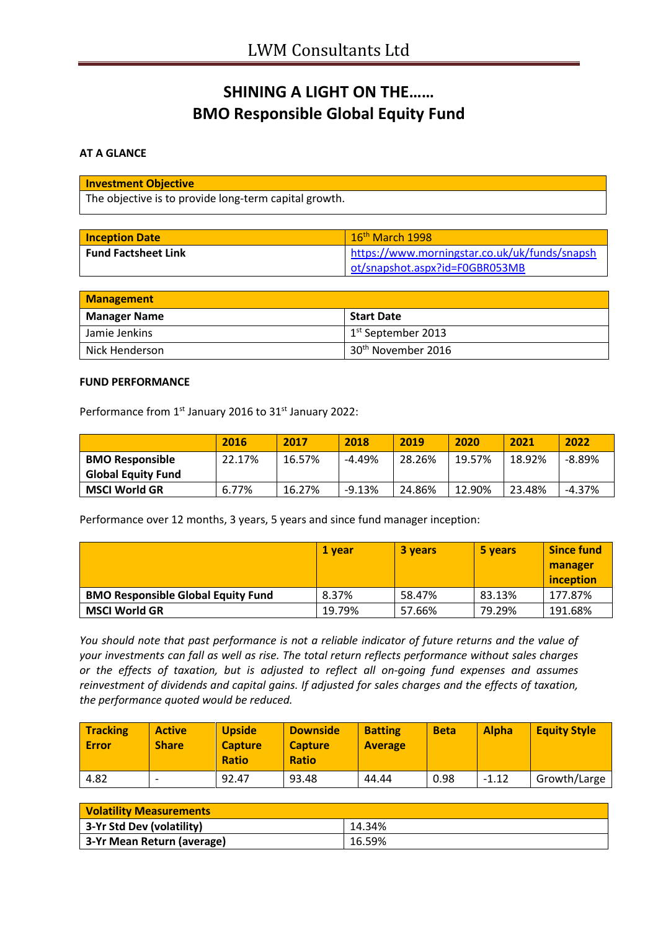# **SHINING A LIGHT ON THE…… BMO Responsible Global Equity Fund**

### **AT A GLANCE**

| <b>Investment Objective</b>                           |
|-------------------------------------------------------|
| The objective is to provide long-term capital growth. |

| <b>Inception Date</b>      | $16th$ March 1998                             |
|----------------------------|-----------------------------------------------|
| <b>Fund Factsheet Link</b> | https://www.morningstar.co.uk/uk/funds/snapsh |
|                            | ot/snapshot.aspx?id=F0GBR053MB                |

| <b>Management</b>   |                                |  |
|---------------------|--------------------------------|--|
| <b>Manager Name</b> | <b>Start Date</b>              |  |
| Jamie Jenkins       | 1 <sup>st</sup> September 2013 |  |
| Nick Henderson      | 30 <sup>th</sup> November 2016 |  |

### **FUND PERFORMANCE**

Performance from 1<sup>st</sup> January 2016 to 31<sup>st</sup> January 2022:

|                           | 2016   | 2017   | 2018     | 2019   | 2020   | 2021   | 2022      |
|---------------------------|--------|--------|----------|--------|--------|--------|-----------|
| <b>BMO Responsible</b>    | 22.17% | 16.57% | $-4.49%$ | 28.26% | 19.57% | 18.92% | $-8.89\%$ |
| <b>Global Equity Fund</b> |        |        |          |        |        |        |           |
| <b>MSCI World GR</b>      | 6.77%  | 16.27% | $-9.13%$ | 24.86% | 12.90% | 23.48% | $-4.37%$  |

Performance over 12 months, 3 years, 5 years and since fund manager inception:

|                                           | 1 year | <b>3 years</b> | 5 years | <b>Since fund</b> |
|-------------------------------------------|--------|----------------|---------|-------------------|
|                                           |        |                |         | manager           |
|                                           |        |                |         | inception         |
| <b>BMO Responsible Global Equity Fund</b> | 8.37%  | 58.47%         | 83.13%  | 177.87%           |
| <b>MSCI World GR</b>                      | 19.79% | 57.66%         | 79.29%  | 191.68%           |

*You should note that past performance is not a reliable indicator of future returns and the value of your investments can fall as well as rise. The total return reflects performance without sales charges or the effects of taxation, but is adjusted to reflect all on-going fund expenses and assumes reinvestment of dividends and capital gains. If adjusted for sales charges and the effects of taxation, the performance quoted would be reduced.*

| <b>Tracking</b><br>Error | <b>Active</b><br><b>Share</b> | <b>Upside</b><br><b>Capture</b><br><b>Ratio</b> | <b>Downside</b><br><b>Capture</b><br><b>Ratio</b> | <b>Batting</b><br><b>Average</b> | <b>Beta</b> | <b>Alpha</b> | <b>Equity Style</b> |
|--------------------------|-------------------------------|-------------------------------------------------|---------------------------------------------------|----------------------------------|-------------|--------------|---------------------|
| 4.82                     |                               | 92.47                                           | 93.48                                             | 44.44                            | 0.98        | $-1.12$      | Growth/Large        |

| <b>Volatility Measurements</b> |        |  |
|--------------------------------|--------|--|
| 3-Yr Std Dev (volatility)      | 14.34% |  |
| 3-Yr Mean Return (average)     | 16.59% |  |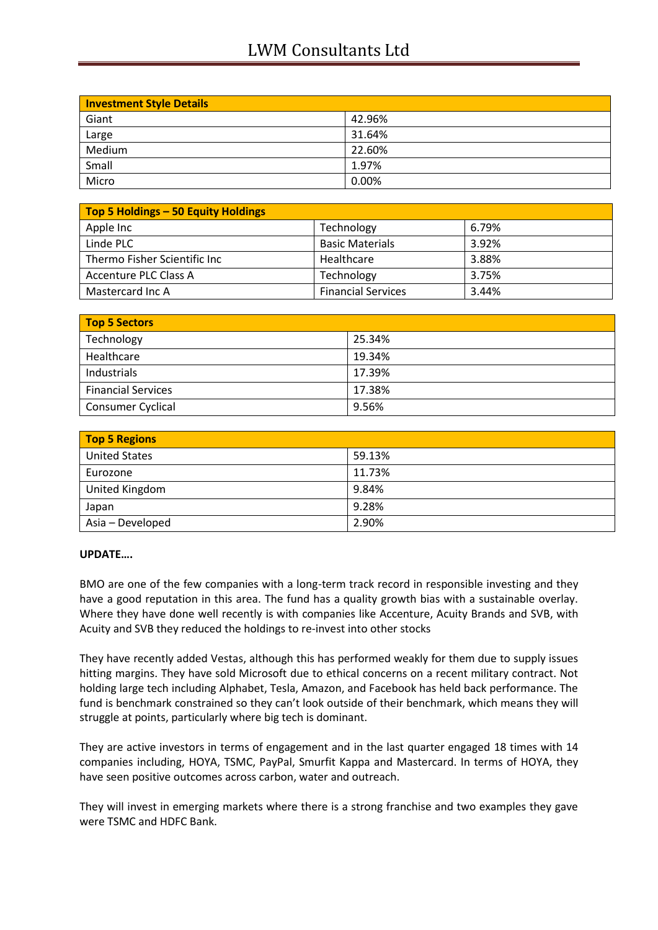# LWM Consultants Ltd

| <b>Investment Style Details</b> |        |
|---------------------------------|--------|
| Giant                           | 42.96% |
| Large                           | 31.64% |
| Medium                          | 22.60% |
| Small                           | 1.97%  |
| Micro                           | 0.00%  |

| Top 5 Holdings - 50 Equity Holdings |                           |       |  |  |
|-------------------------------------|---------------------------|-------|--|--|
| Apple Inc                           | Technology                | 6.79% |  |  |
| Linde PLC                           | <b>Basic Materials</b>    | 3.92% |  |  |
| Thermo Fisher Scientific Inc        | Healthcare                | 3.88% |  |  |
| Accenture PLC Class A               | Technology                | 3.75% |  |  |
| Mastercard Inc A                    | <b>Financial Services</b> | 3.44% |  |  |

| Top 5 Sectors             |        |  |
|---------------------------|--------|--|
| Technology                | 25.34% |  |
| Healthcare                | 19.34% |  |
| Industrials               | 17.39% |  |
| <b>Financial Services</b> | 17.38% |  |
| <b>Consumer Cyclical</b>  | 9.56%  |  |

| <b>Top 5 Regions</b> |        |
|----------------------|--------|
| <b>United States</b> | 59.13% |
| Eurozone             | 11.73% |
| United Kingdom       | 9.84%  |
| Japan                | 9.28%  |
| Asia - Developed     | 2.90%  |

#### **UPDATE….**

BMO are one of the few companies with a long-term track record in responsible investing and they have a good reputation in this area. The fund has a quality growth bias with a sustainable overlay. Where they have done well recently is with companies like Accenture, Acuity Brands and SVB, with Acuity and SVB they reduced the holdings to re-invest into other stocks

They have recently added Vestas, although this has performed weakly for them due to supply issues hitting margins. They have sold Microsoft due to ethical concerns on a recent military contract. Not holding large tech including Alphabet, Tesla, Amazon, and Facebook has held back performance. The fund is benchmark constrained so they can't look outside of their benchmark, which means they will struggle at points, particularly where big tech is dominant.

They are active investors in terms of engagement and in the last quarter engaged 18 times with 14 companies including, HOYA, TSMC, PayPal, Smurfit Kappa and Mastercard. In terms of HOYA, they have seen positive outcomes across carbon, water and outreach.

They will invest in emerging markets where there is a strong franchise and two examples they gave were TSMC and HDFC Bank.